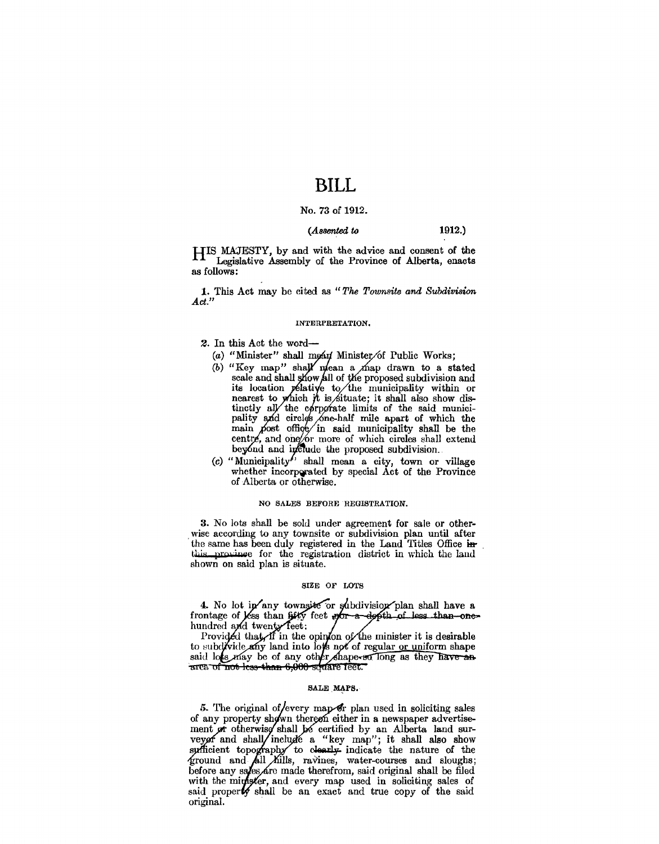## **BILL**

## No. 73 of 1912.

## *(Assented* to 1912.)

HIS MAJESTY, by and with the advice and consent of the Legislative Assembly of the Province of Alberta, enacts as follows:

1. This Act may be cited as "The Townsite and Subdivision *Act."* 

#### INTERPRETATION.

- 2. In this Act the word-
	- (a) "Minister" shall moan Minister of Public Works;
	- (b) "Key map" shall mean a map drawn to a stated scale and shall show all of the proposed subdivision and its location *p*élative to the municipality within or nearest to which it is situate; it shall also show distinctly all the corporate limits of the said municipality and circles one-half mile apart of which the main  $\beta$  ost office in said municipality shall be the centre, and one for more of which circles shall extend beyond and include the proposed subdivision.
	- (c) "Municipality ' shall mean a city, town or village whether incorporated by special Act of the Province of Alberta or otherwise.

## NO SALES BEFORE REGISTRATION.

3. No lots shall be sold under agreement for sale or other-wise according to any townsite or subdivision plan until after the same has been duly registered in the Land Titles Office inthis province for the registration district in which the land shown on said plan is situate.

### SIZE OF LOTS

4. No lot in any townsite or subdivision plan shall have a frontage of less than  $64\frac{1}{2}$  feet  $\frac{1}{2}$  of  $\frac{1}{2}$  dess than one-hundred and twenty feet:

Provided that if in the opinion of the minister it is desirable to subdivide any land into low not of regular or uniform shape said lots may be of any other shape-so long as they have an area of not less than 6,000 square reet.

## SALE MAPS.

5. The original of/every map or plan used in soliciting sales of any property shown thereon either in a newspaper advertisement or otherwise shall be certified by an Alberta land surment in otherwise shall be certified by an Alberta land surveyor and shall include a "key map"; it shall also show sufficient topography to clearly indicate the nature of the ground and  $\hat{A}$ ll Kills, ravines, water-cour before any sales are made therefrom, said original shall be filed with the mingster, and every map used in soliciting sales of said property shall be an exact and true copy of the said original.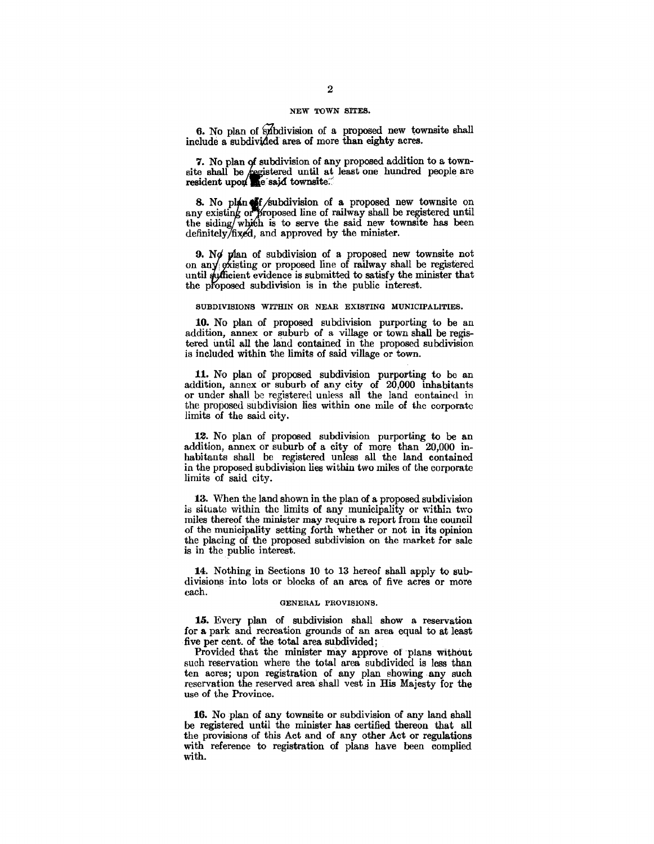#### NEW TOWN SITES.

6. No plan of subdivision of a proposed new townsite shall include a subdiVided area of more than eighty acres.

7. No plan of subdivision of any proposed addition to a townsite shall be egistered until at least one hundred people are  $\mathbf{r}$  resident upon  $\mathbf{r}$  e sajd townsite.

8. No plan  $\frac{1}{2}$  /subdivision of a proposed new townsite on any existing or proposed line of railway shall be registered until the siding which is to serve the said new townsite has been definitely/fixed, and approved by the minister.

9. Not plan of subdivision of a proposed new townsite not<br>on any existing or proposed line of railway shall be registered until syfficient evidence is submitted to satisfy the minister that the proposed subdivision is in the public interest.

#### SUBDIVISIONS WITHIN OR NEAR EXISTING MUNICIPALITIES.

10. No plan of proposed subdivision purporting to be an addition, annex or suburb of a village or town shall be registered until all the land contained in the proposed subdivision is included within the limits of said village or town.

11. No plan of proposed subdivision purporting to be an addition, annex or suburb of any city of 20,000 inhabitants or under shall be registered unless all the land contained in the proposed subdivision lies within one mile of the corporate limits of the said city.

12. No plan of proposed subdivision purporting to be an addition, annex or suburb of a city of more than 20,000 inhabitants shall be registered unless all the land contained in the proposed subdivision lies within two miles of the corporate limits of said city.

13. When the land shown in the plan of a proposed subdivision is situate within the limits of any municipality or within two miles thereof the minister may require a report from the council of the municipality setting forth whether or not in its opinion the placing of the proposed subdivision on the market for sale is in the public interest.

14. Nothing in Sections 10 to 13 hereof shall apply to subdivisions into lots or blocks of an area of five acres or more each.

### GENERAL PROVISIONS.

13. Every plan of subdivision shall show a reservation for a park and recreation grounds of an area equal to at least five per cent. of the total area subdivided;

Provided that the minister may approve or plans without such reservation where the total area subdivided is less than ten acres; upon registration of any plan showing any such reservation the reserved area shall vest in His Majesty for the use of the Province.

16. No plan of any townsite or subdivision of any land shall be registered until the minister has certified thereon that all the provisions of this Act and of any other Act or regulations with reference to registration of plans have been complied with.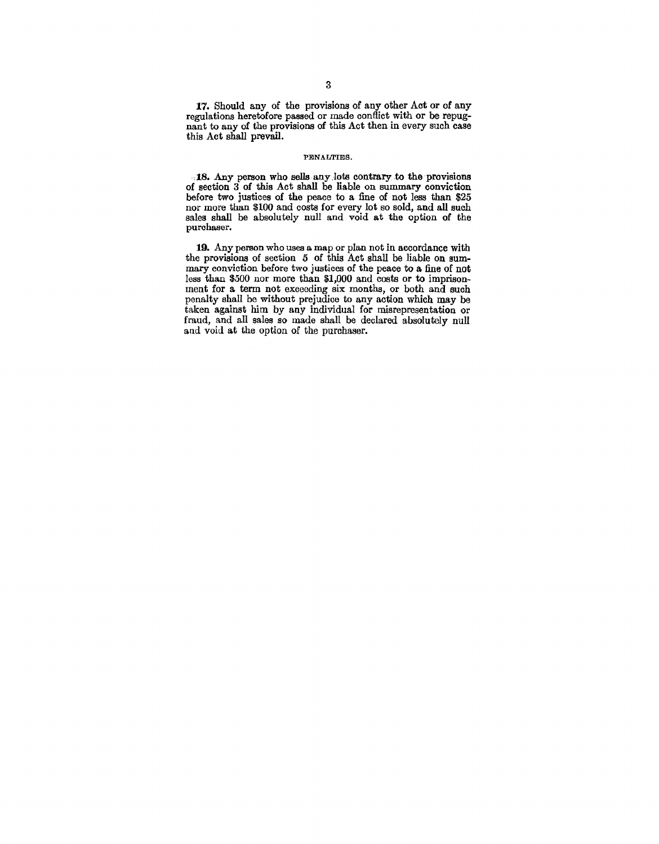17. Should any of the provisions of any other Act or of any regulations heretofore passed or made conflict with or be repugnant to any of the provisions of this Act then in every such case this Act shall prevail.

### PENALTIES.

. 18. Any person who sells any Jots contrary to the provisions of section 3 of this Act shall be liable on summary conviction before two justices of the peace to a fine of not less than \$25 nor more than \$100 and costs for every lot so sold, and all such sales shall be absolutely null and void at the option of the purchaser.

19. Any person who uses a map or plan not in accordance with the provisions of section 5 of this Act shall be liable on summary conviction before two justices of the peace to a fine of not less than \$500 nor more than \$1,000 and costs or to imprisonment for a. term not exceeding six months, or both and such penalty shall be without prejudice to any action which may be taken against him by any individual for misrepresentation or fraud, and all sales so made shall be declared absolutely null and void at the option of the purchaser.